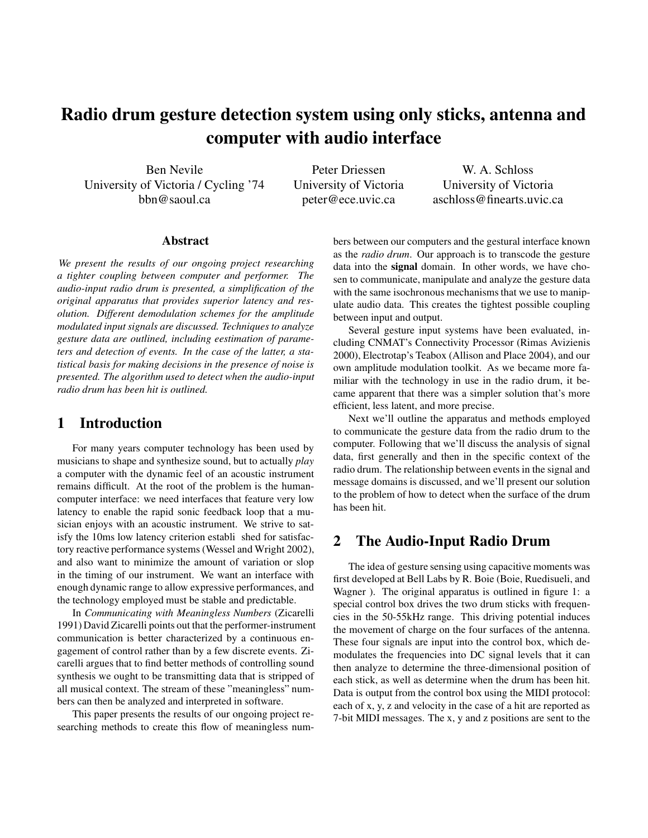# **Radio drum gesture detection system using only sticks, antenna and computer with audio interface**

Ben Nevile University of Victoria / Cycling '74 bbn@saoul.ca

Peter Driessen University of Victoria peter@ece.uvic.ca

W. A. Schloss University of Victoria aschloss@finearts.uvic.ca

### **Abstract**

*We present the results of our ongoing project researching a tighter coupling between computer and performer. The audio-input radio drum is presented, a simplification of the original apparatus that provides superior latency and resolution. Different demodulation schemes for the amplitude modulated input signals are discussed. Techniques to analyze gesture data are outlined, including eestimation of parameters and detection of events. In the case of the latter, a statistical basis for making decisions in the presence of noise is presented. The algorithm used to detect when the audio-input radio drum has been hit is outlined.*

# **1 Introduction**

For many years computer technology has been used by musicians to shape and synthesize sound, but to actually *play* a computer with the dynamic feel of an acoustic instrument remains difficult. At the root of the problem is the humancomputer interface: we need interfaces that feature very low latency to enable the rapid sonic feedback loop that a musician enjoys with an acoustic instrument. We strive to satisfy the 10ms low latency criterion establi shed for satisfactory reactive performance systems (Wessel and Wright 2002), and also want to minimize the amount of variation or slop in the timing of our instrument. We want an interface with enough dynamic range to allow expressive performances, and the technology employed must be stable and predictable.

In *Communicating with Meaningless Numbers* (Zicarelli 1991) David Zicarelli points out that the performer-instrument communication is better characterized by a continuous engagement of control rather than by a few discrete events. Zicarelli argues that to find better methods of controlling sound synthesis we ought to be transmitting data that is stripped of all musical context. The stream of these "meaningless" numbers can then be analyzed and interpreted in software.

This paper presents the results of our ongoing project researching methods to create this flow of meaningless numbers between our computers and the gestural interface known as the *radio drum*. Our approach is to transcode the gesture data into the **signal** domain. In other words, we have chosen to communicate, manipulate and analyze the gesture data with the same isochronous mechanisms that we use to manipulate audio data. This creates the tightest possible coupling between input and output.

Several gesture input systems have been evaluated, including CNMAT's Connectivity Processor (Rimas Avizienis 2000), Electrotap's Teabox (Allison and Place 2004), and our own amplitude modulation toolkit. As we became more familiar with the technology in use in the radio drum, it became apparent that there was a simpler solution that's more efficient, less latent, and more precise.

Next we'll outline the apparatus and methods employed to communicate the gesture data from the radio drum to the computer. Following that we'll discuss the analysis of signal data, first generally and then in the specific context of the radio drum. The relationship between events in the signal and message domains is discussed, and we'll present our solution to the problem of how to detect when the surface of the drum has been hit.

### **2 The Audio-Input Radio Drum**

The idea of gesture sensing using capacitive moments was first developed at Bell Labs by R. Boie (Boie, Ruedisueli, and Wagner ). The original apparatus is outlined in figure 1: a special control box drives the two drum sticks with frequencies in the 50-55kHz range. This driving potential induces the movement of charge on the four surfaces of the antenna. These four signals are input into the control box, which demodulates the frequencies into DC signal levels that it can then analyze to determine the three-dimensional position of each stick, as well as determine when the drum has been hit. Data is output from the control box using the MIDI protocol: each of x, y, z and velocity in the case of a hit are reported as 7-bit MIDI messages. The x, y and z positions are sent to the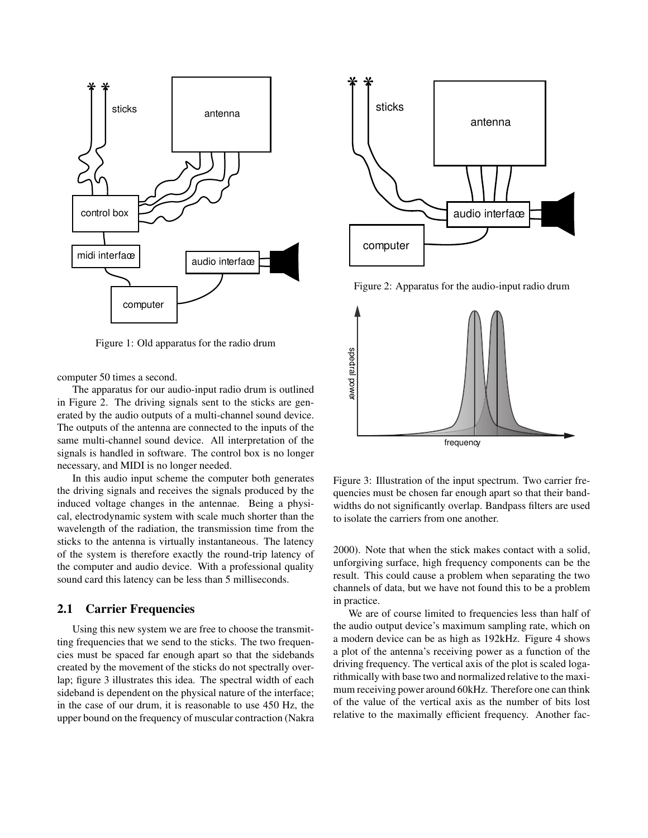

Figure 1: Old apparatus for the radio drum

computer 50 times a second.

The apparatus for our audio-input radio drum is outlined in Figure 2. The driving signals sent to the sticks are generated by the audio outputs of a multi-channel sound device. The outputs of the antenna are connected to the inputs of the same multi-channel sound device. All interpretation of the signals is handled in software. The control box is no longer necessary, and MIDI is no longer needed.

In this audio input scheme the computer both generates the driving signals and receives the signals produced by the induced voltage changes in the antennae. Being a physical, electrodynamic system with scale much shorter than the wavelength of the radiation, the transmission time from the sticks to the antenna is virtually instantaneous. The latency of the system is therefore exactly the round-trip latency of the computer and audio device. With a professional quality sound card this latency can be less than 5 milliseconds.

#### **2.1 Carrier Frequencies**

Using this new system we are free to choose the transmitting frequencies that we send to the sticks. The two frequencies must be spaced far enough apart so that the sidebands created by the movement of the sticks do not spectrally overlap; figure 3 illustrates this idea. The spectral width of each sideband is dependent on the physical nature of the interface; in the case of our drum, it is reasonable to use 450 Hz, the upper bound on the frequency of muscular contraction (Nakra



Figure 2: Apparatus for the audio-input radio drum



Figure 3: Illustration of the input spectrum. Two carrier frequencies must be chosen far enough apart so that their bandwidths do not significantly overlap. Bandpass filters are used to isolate the carriers from one another.

2000). Note that when the stick makes contact with a solid, unforgiving surface, high frequency components can be the result. This could cause a problem when separating the two channels of data, but we have not found this to be a problem in practice.

We are of course limited to frequencies less than half of the audio output device's maximum sampling rate, which on a modern device can be as high as 192kHz. Figure 4 shows a plot of the antenna's receiving power as a function of the driving frequency. The vertical axis of the plot is scaled logarithmically with base two and normalized relative to the maximum receiving power around 60kHz. Therefore one can think of the value of the vertical axis as the number of bits lost relative to the maximally efficient frequency. Another fac-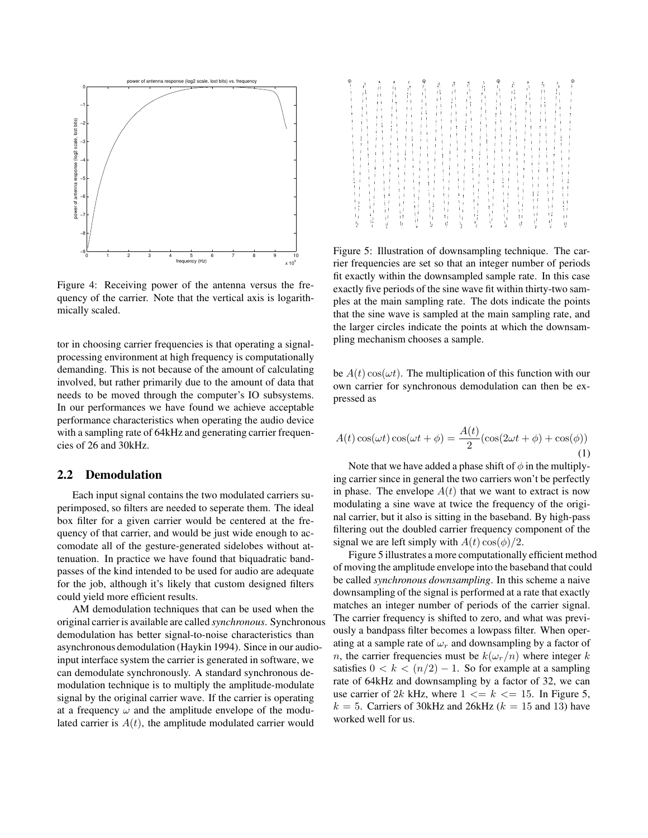

Figure 4: Receiving power of the antenna versus the frequency of the carrier. Note that the vertical axis is logarithmically scaled.

tor in choosing carrier frequencies is that operating a signalprocessing environment at high frequency is computationally demanding. This is not because of the amount of calculating involved, but rather primarily due to the amount of data that needs to be moved through the computer's IO subsystems. In our performances we have found we achieve acceptable performance characteristics when operating the audio device with a sampling rate of 64kHz and generating carrier frequencies of 26 and 30kHz.

#### **2.2 Demodulation**

Each input signal contains the two modulated carriers superimposed, so filters are needed to seperate them. The ideal box filter for a given carrier would be centered at the frequency of that carrier, and would be just wide enough to accomodate all of the gesture-generated sidelobes without attenuation. In practice we have found that biquadratic bandpasses of the kind intended to be used for audio are adequate for the job, although it's likely that custom designed filters could yield more efficient results.

AM demodulation techniques that can be used when the original carrier is available are called *synchronous*. Synchronous demodulation has better signal-to-noise characteristics than asynchronous demodulation (Haykin 1994). Since in our audioinput interface system the carrier is generated in software, we can demodulate synchronously. A standard synchronous demodulation technique is to multiply the amplitude-modulate signal by the original carrier wave. If the carrier is operating at a frequency  $\omega$  and the amplitude envelope of the modulated carrier is  $A(t)$ , the amplitude modulated carrier would

| 芽 |  |  |  |  |  |  |  |  |  |  |  |  | $\begin{split} \mathbf{P}_{\mathbf{u}} & = \mathbf{P}_{\mathbf{u}} + \mathbf{P}_{\mathbf{u}} + \mathbf{P}_{\mathbf{u}} + \mathbf{P}_{\mathbf{u}} + \mathbf{P}_{\mathbf{u}} + \mathbf{P}_{\mathbf{u}} + \mathbf{P}_{\mathbf{u}} \\ & \qquad \qquad \leq \mathbf{P}_{\mathbf{u}} + \mathbf{P}_{\mathbf{u}} + \mathbf{P}_{\mathbf{u}} + \mathbf{P}_{\mathbf{u}} + \mathbf{P}_{\mathbf{u}} + \mathbf{P}_{\mathbf{u}} + \mathbf{P}_{\mathbf{u}} + \mathbf{P}_{\mathbf$ |  |  | $\begin{array}{cccccccccccccc} \mathbf{A} & \mathbf{B} & \mathbf{B} & \mathbf{B} & \mathbf{B} & \mathbf{B} & \mathbf{B} & \mathbf{B} & \mathbf{B} & \mathbf{B} & \mathbf{B} & \mathbf{B} & \mathbf{B} & \mathbf{B} & \mathbf{B} & \mathbf{B} & \mathbf{B} & \mathbf{B} & \mathbf{B} & \mathbf{B} & \mathbf{B} & \mathbf{B} & \mathbf{B} & \mathbf{B} & \mathbf{B} & \mathbf{B} & \mathbf{B} & \mathbf{B} & \mathbf{B} & \mathbf{B} &$ |  |
|---|--|--|--|--|--|--|--|--|--|--|--|--|-------------------------------------------------------------------------------------------------------------------------------------------------------------------------------------------------------------------------------------------------------------------------------------------------------------------------------------------------------------------------------------------------------------------------------------------------------------------|--|--|---------------------------------------------------------------------------------------------------------------------------------------------------------------------------------------------------------------------------------------------------------------------------------------------------------------------------------------------------------------------------------------------------------------------------------------|--|
|---|--|--|--|--|--|--|--|--|--|--|--|--|-------------------------------------------------------------------------------------------------------------------------------------------------------------------------------------------------------------------------------------------------------------------------------------------------------------------------------------------------------------------------------------------------------------------------------------------------------------------|--|--|---------------------------------------------------------------------------------------------------------------------------------------------------------------------------------------------------------------------------------------------------------------------------------------------------------------------------------------------------------------------------------------------------------------------------------------|--|

Figure 5: Illustration of downsampling technique. The carrier frequencies are set so that an integer number of periods fit exactly within the downsampled sample rate. In this case exactly five periods of the sine wave fit within thirty-two samples at the main sampling rate. The dots indicate the points that the sine wave is sampled at the main sampling rate, and the larger circles indicate the points at which the downsampling mechanism chooses a sample.

be  $A(t) \cos(\omega t)$ . The multiplication of this function with our own carrier for synchronous demodulation can then be expressed as

$$
A(t)\cos(\omega t)\cos(\omega t + \phi) = \frac{A(t)}{2}(\cos(2\omega t + \phi) + \cos(\phi))
$$
\n(1)

Note that we have added a phase shift of  $\phi$  in the multiplying carrier since in general the two carriers won't be perfectly in phase. The envelope  $A(t)$  that we want to extract is now modulating a sine wave at twice the frequency of the original carrier, but it also is sitting in the baseband. By high-pass filtering out the doubled carrier frequency component of the signal we are left simply with  $A(t) \cos(\phi)/2$ .

Figure 5 illustrates a more computationally efficient method of moving the amplitude envelope into the baseband that could be called *synchronous downsampling*. In this scheme a naive downsampling of the signal is performed at a rate that exactly matches an integer number of periods of the carrier signal. The carrier frequency is shifted to zero, and what was previously a bandpass filter becomes a lowpass filter. When operating at a sample rate of  $\omega_r$  and downsampling by a factor of n, the carrier frequencies must be  $k(\omega_r/n)$  where integer k satisfies  $0 < k < (n/2) - 1$ . So for example at a sampling rate of 64kHz and downsampling by a factor of 32, we can use carrier of 2k kHz, where  $1 \le k \le 15$ . In Figure 5,  $k = 5$ . Carriers of 30kHz and 26kHz ( $k = 15$  and 13) have worked well for us.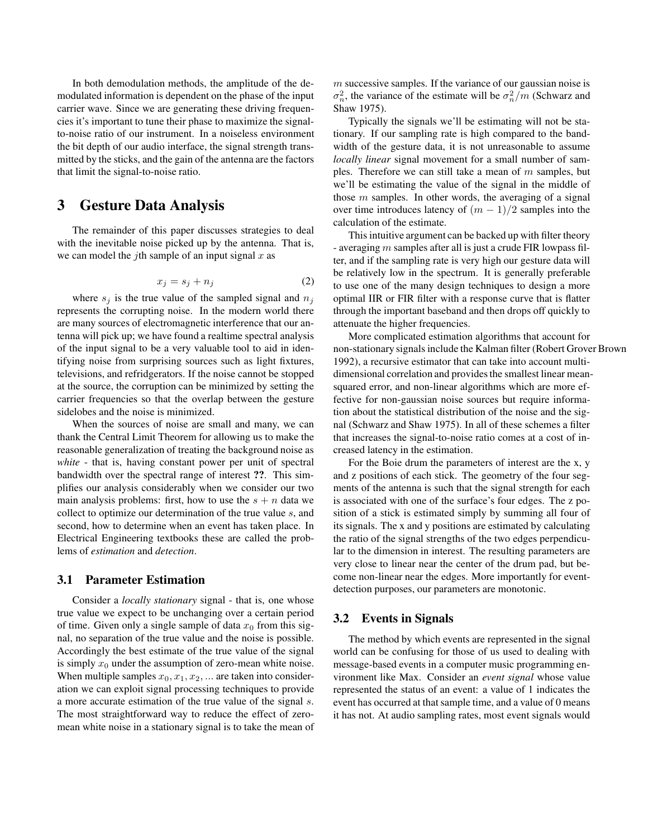In both demodulation methods, the amplitude of the demodulated information is dependent on the phase of the input carrier wave. Since we are generating these driving frequencies it's important to tune their phase to maximize the signalto-noise ratio of our instrument. In a noiseless environment the bit depth of our audio interface, the signal strength transmitted by the sticks, and the gain of the antenna are the factors that limit the signal-to-noise ratio.

## **3 Gesture Data Analysis**

The remainder of this paper discusses strategies to deal with the inevitable noise picked up by the antenna. That is, we can model the *j*th sample of an input signal  $x$  as

$$
x_j = s_j + n_j \tag{2}
$$

where  $s_j$  is the true value of the sampled signal and  $n_j$ represents the corrupting noise. In the modern world there are many sources of electromagnetic interference that our antenna will pick up; we have found a realtime spectral analysis of the input signal to be a very valuable tool to aid in identifying noise from surprising sources such as light fixtures, televisions, and refridgerators. If the noise cannot be stopped at the source, the corruption can be minimized by setting the carrier frequencies so that the overlap between the gesture sidelobes and the noise is minimized.

When the sources of noise are small and many, we can thank the Central Limit Theorem for allowing us to make the reasonable generalization of treating the background noise as *white* - that is, having constant power per unit of spectral bandwidth over the spectral range of interest **??**. This simplifies our analysis considerably when we consider our two main analysis problems: first, how to use the  $s + n$  data we collect to optimize our determination of the true value s, and second, how to determine when an event has taken place. In Electrical Engineering textbooks these are called the problems of *estimation* and *detection*.

### **3.1 Parameter Estimation**

Consider a *locally stationary* signal - that is, one whose true value we expect to be unchanging over a certain period of time. Given only a single sample of data  $x_0$  from this signal, no separation of the true value and the noise is possible. Accordingly the best estimate of the true value of the signal is simply  $x_0$  under the assumption of zero-mean white noise. When multiple samples  $x_0, x_1, x_2, \dots$  are taken into consideration we can exploit signal processing techniques to provide a more accurate estimation of the true value of the signal s. The most straightforward way to reduce the effect of zeromean white noise in a stationary signal is to take the mean of  $m$  successive samples. If the variance of our gaussian noise is  $\sigma_n^2$ , the variance of the estimate will be  $\sigma_n^2/m$  (Schwarz and Shaw 1975).

Typically the signals we'll be estimating will not be stationary. If our sampling rate is high compared to the bandwidth of the gesture data, it is not unreasonable to assume *locally linear* signal movement for a small number of samples. Therefore we can still take a mean of  $m$  samples, but we'll be estimating the value of the signal in the middle of those  $m$  samples. In other words, the averaging of a signal over time introduces latency of  $(m - 1)/2$  samples into the calculation of the estimate.

This intuitive argument can be backed up with filter theory - averaging m samples after all is just a crude FIR lowpass filter, and if the sampling rate is very high our gesture data will be relatively low in the spectrum. It is generally preferable to use one of the many design techniques to design a more optimal IIR or FIR filter with a response curve that is flatter through the important baseband and then drops off quickly to attenuate the higher frequencies.

More complicated estimation algorithms that account for non-stationary signals include the Kalman filter (Robert Grover Brown 1992), a recursive estimator that can take into account multidimensional correlation and provides the smallest linear meansquared error, and non-linear algorithms which are more effective for non-gaussian noise sources but require information about the statistical distribution of the noise and the signal (Schwarz and Shaw 1975). In all of these schemes a filter that increases the signal-to-noise ratio comes at a cost of increased latency in the estimation.

For the Boie drum the parameters of interest are the x, y and z positions of each stick. The geometry of the four segments of the antenna is such that the signal strength for each is associated with one of the surface's four edges. The z position of a stick is estimated simply by summing all four of its signals. The x and y positions are estimated by calculating the ratio of the signal strengths of the two edges perpendicular to the dimension in interest. The resulting parameters are very close to linear near the center of the drum pad, but become non-linear near the edges. More importantly for eventdetection purposes, our parameters are monotonic.

### **3.2 Events in Signals**

The method by which events are represented in the signal world can be confusing for those of us used to dealing with message-based events in a computer music programming environment like Max. Consider an *event signal* whose value represented the status of an event: a value of 1 indicates the event has occurred at that sample time, and a value of 0 means it has not. At audio sampling rates, most event signals would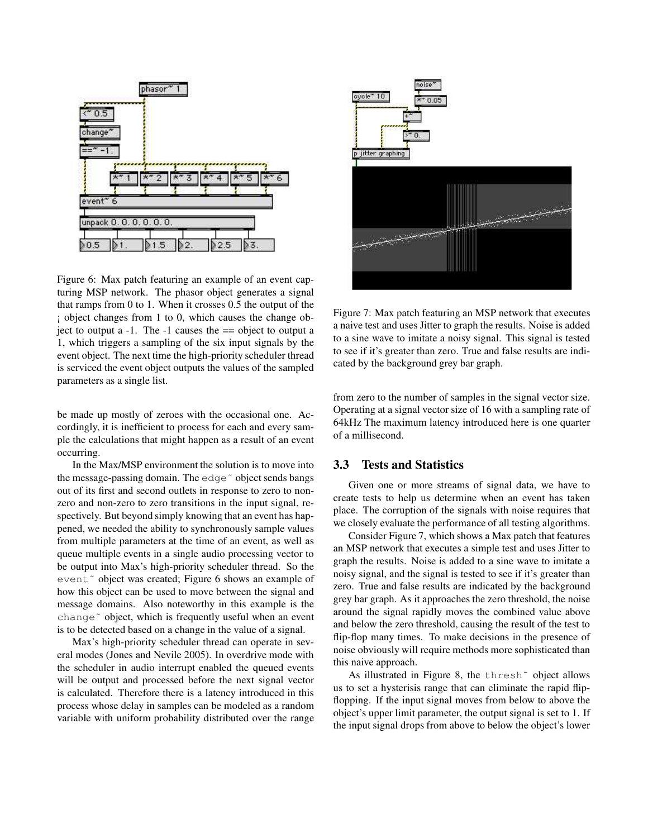

Figure 6: Max patch featuring an example of an event capturing MSP network. The phasor object generates a signal that ramps from 0 to 1. When it crosses 0.5 the output of the ¡ object changes from 1 to 0, which causes the change object to output a  $-1$ . The  $-1$  causes the  $==$  object to output a 1, which triggers a sampling of the six input signals by the event object. The next time the high-priority scheduler thread is serviced the event object outputs the values of the sampled parameters as a single list.

be made up mostly of zeroes with the occasional one. Accordingly, it is inefficient to process for each and every sample the calculations that might happen as a result of an event occurring.

In the Max/MSP environment the solution is to move into the message-passing domain. The edge<sup> $\degree$ </sup> object sends bangs out of its first and second outlets in response to zero to nonzero and non-zero to zero transitions in the input signal, respectively. But beyond simply knowing that an event has happened, we needed the ability to synchronously sample values from multiple parameters at the time of an event, as well as queue multiple events in a single audio processing vector to be output into Max's high-priority scheduler thread. So the event˜ object was created; Figure 6 shows an example of how this object can be used to move between the signal and message domains. Also noteworthy in this example is the change˜ object, which is frequently useful when an event is to be detected based on a change in the value of a signal.

Max's high-priority scheduler thread can operate in several modes (Jones and Nevile 2005). In overdrive mode with the scheduler in audio interrupt enabled the queued events will be output and processed before the next signal vector is calculated. Therefore there is a latency introduced in this process whose delay in samples can be modeled as a random variable with uniform probability distributed over the range



Figure 7: Max patch featuring an MSP network that executes a naive test and uses Jitter to graph the results. Noise is added to a sine wave to imitate a noisy signal. This signal is tested to see if it's greater than zero. True and false results are indicated by the background grey bar graph.

from zero to the number of samples in the signal vector size. Operating at a signal vector size of 16 with a sampling rate of 64kHz The maximum latency introduced here is one quarter of a millisecond.

### **3.3 Tests and Statistics**

Given one or more streams of signal data, we have to create tests to help us determine when an event has taken place. The corruption of the signals with noise requires that we closely evaluate the performance of all testing algorithms.

Consider Figure 7, which shows a Max patch that features an MSP network that executes a simple test and uses Jitter to graph the results. Noise is added to a sine wave to imitate a noisy signal, and the signal is tested to see if it's greater than zero. True and false results are indicated by the background grey bar graph. As it approaches the zero threshold, the noise around the signal rapidly moves the combined value above and below the zero threshold, causing the result of the test to flip-flop many times. To make decisions in the presence of noise obviously will require methods more sophisticated than this naive approach.

As illustrated in Figure 8, the thresh<sup>~</sup> object allows us to set a hysterisis range that can eliminate the rapid flipflopping. If the input signal moves from below to above the object's upper limit parameter, the output signal is set to 1. If the input signal drops from above to below the object's lower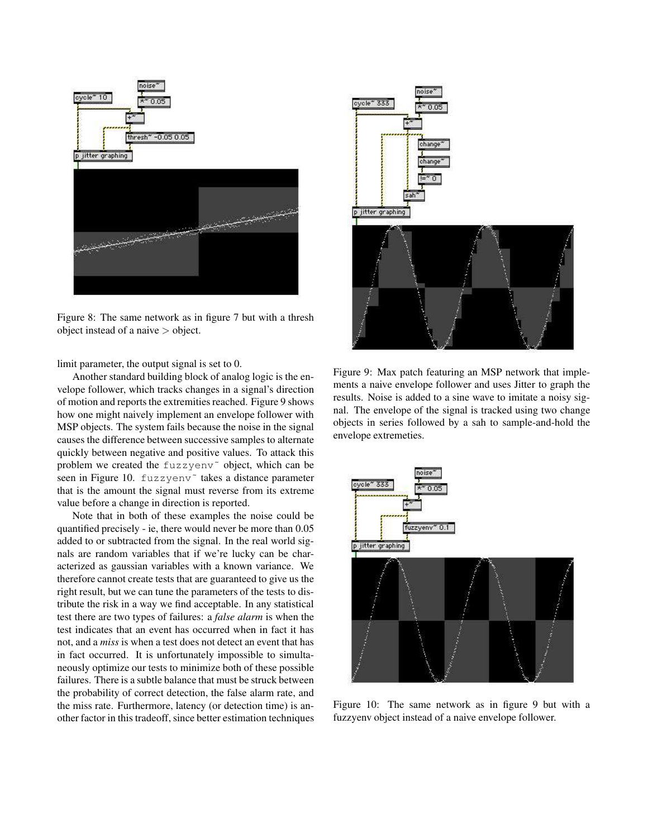

Figure 8: The same network as in figure 7 but with a thresh object instead of a naive  $>$  object.

limit parameter, the output signal is set to 0.

Another standard building block of analog logic is the envelope follower, which tracks changes in a signal's direction of motion and reports the extremities reached. Figure 9 shows how one might naively implement an envelope follower with MSP objects. The system fails because the noise in the signal causes the difference between successive samples to alternate quickly between negative and positive values. To attack this problem we created the fuzzyenv<sup>~</sup> object, which can be seen in Figure 10. fuzzyenv<sup>«</sup> takes a distance parameter that is the amount the signal must reverse from its extreme value before a change in direction is reported.

Note that in both of these examples the noise could be quantified precisely - ie, there would never be more than 0.05 added to or subtracted from the signal. In the real world signals are random variables that if we're lucky can be characterized as gaussian variables with a known variance. We therefore cannot create tests that are guaranteed to give us the right result, but we can tune the parameters of the tests to distribute the risk in a way we find acceptable. In any statistical test there are two types of failures: a *false alarm* is when the test indicates that an event has occurred when in fact it has not, and a *miss* is when a test does not detect an event that has in fact occurred. It is unfortunately impossible to simultaneously optimize our tests to minimize both of these possible failures. There is a subtle balance that must be struck between the probability of correct detection, the false alarm rate, and the miss rate. Furthermore, latency (or detection time) is another factor in this tradeoff, since better estimation techniques



Figure 9: Max patch featuring an MSP network that implements a naive envelope follower and uses Jitter to graph the results. Noise is added to a sine wave to imitate a noisy signal. The envelope of the signal is tracked using two change objects in series followed by a sah to sample-and-hold the envelope extremeties.



Figure 10: The same network as in figure 9 but with a fuzzyenv object instead of a naive envelope follower.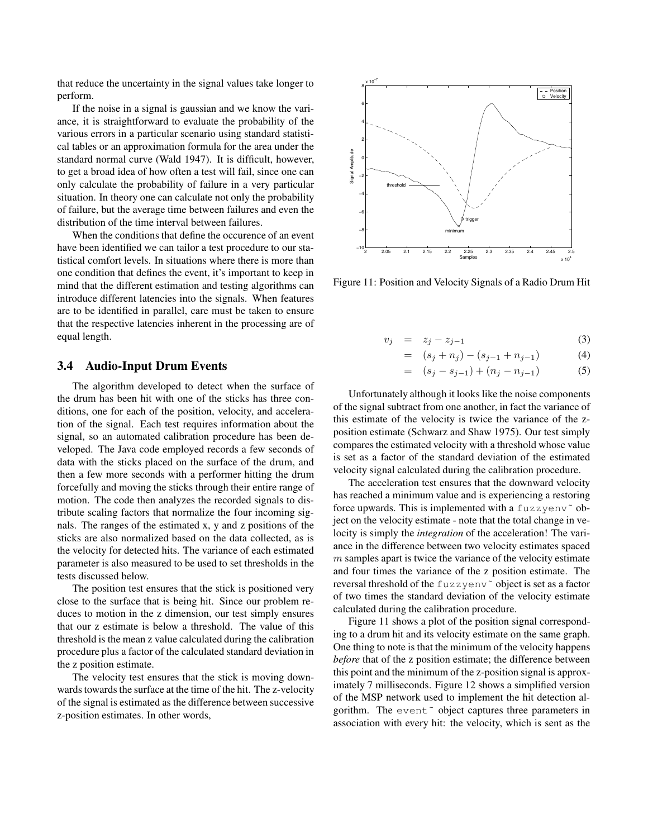that reduce the uncertainty in the signal values take longer to perform.

If the noise in a signal is gaussian and we know the variance, it is straightforward to evaluate the probability of the various errors in a particular scenario using standard statistical tables or an approximation formula for the area under the standard normal curve (Wald 1947). It is difficult, however, to get a broad idea of how often a test will fail, since one can only calculate the probability of failure in a very particular situation. In theory one can calculate not only the probability of failure, but the average time between failures and even the distribution of the time interval between failures.

When the conditions that define the occurence of an event have been identified we can tailor a test procedure to our statistical comfort levels. In situations where there is more than one condition that defines the event, it's important to keep in mind that the different estimation and testing algorithms can introduce different latencies into the signals. When features are to be identified in parallel, care must be taken to ensure that the respective latencies inherent in the processing are of equal length.

#### **3.4 Audio-Input Drum Events**

The algorithm developed to detect when the surface of the drum has been hit with one of the sticks has three conditions, one for each of the position, velocity, and acceleration of the signal. Each test requires information about the signal, so an automated calibration procedure has been developed. The Java code employed records a few seconds of data with the sticks placed on the surface of the drum, and then a few more seconds with a performer hitting the drum forcefully and moving the sticks through their entire range of motion. The code then analyzes the recorded signals to distribute scaling factors that normalize the four incoming signals. The ranges of the estimated x, y and z positions of the sticks are also normalized based on the data collected, as is the velocity for detected hits. The variance of each estimated parameter is also measured to be used to set thresholds in the tests discussed below.

The position test ensures that the stick is positioned very close to the surface that is being hit. Since our problem reduces to motion in the z dimension, our test simply ensures that our z estimate is below a threshold. The value of this threshold is the mean z value calculated during the calibration procedure plus a factor of the calculated standard deviation in the z position estimate.

The velocity test ensures that the stick is moving downwards towards the surface at the time of the hit. The z-velocity of the signal is estimated as the difference between successive z-position estimates. In other words,



Figure 11: Position and Velocity Signals of a Radio Drum Hit

$$
v_j = z_j - z_{j-1} \tag{3}
$$

$$
= (s_j + n_j) - (s_{j-1} + n_{j-1}) \tag{4}
$$

$$
= (s_j - s_{j-1}) + (n_j - n_{j-1})
$$
 (5)

Unfortunately although it looks like the noise components of the signal subtract from one another, in fact the variance of this estimate of the velocity is twice the variance of the zposition estimate (Schwarz and Shaw 1975). Our test simply compares the estimated velocity with a threshold whose value is set as a factor of the standard deviation of the estimated velocity signal calculated during the calibration procedure.

The acceleration test ensures that the downward velocity has reached a minimum value and is experiencing a restoring force upwards. This is implemented with a  $fuzzyenv^o$  object on the velocity estimate - note that the total change in velocity is simply the *integration* of the acceleration! The variance in the difference between two velocity estimates spaced  $m$  samples apart is twice the variance of the velocity estimate and four times the variance of the z position estimate. The reversal threshold of the fuzzyenv˜ object is set as a factor of two times the standard deviation of the velocity estimate calculated during the calibration procedure.

Figure 11 shows a plot of the position signal corresponding to a drum hit and its velocity estimate on the same graph. One thing to note is that the minimum of the velocity happens *before* that of the z position estimate; the difference between this point and the minimum of the z-position signal is approximately 7 milliseconds. Figure 12 shows a simplified version of the MSP network used to implement the hit detection algorithm. The event<sup>®</sup> object captures three parameters in association with every hit: the velocity, which is sent as the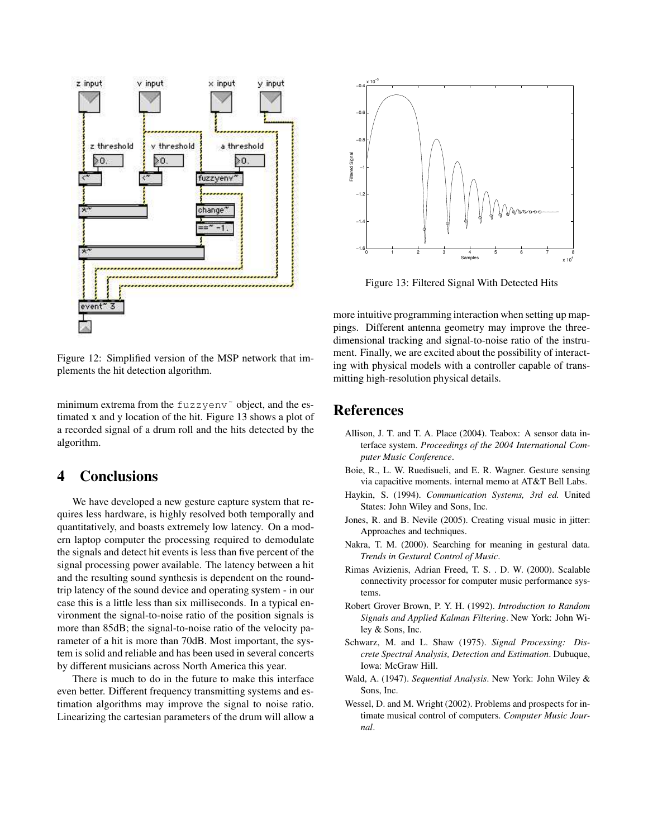

Figure 12: Simplified version of the MSP network that implements the hit detection algorithm.

minimum extrema from the  $fuzzyenv$  object, and the estimated x and y location of the hit. Figure 13 shows a plot of a recorded signal of a drum roll and the hits detected by the algorithm.

# **4 Conclusions**

We have developed a new gesture capture system that requires less hardware, is highly resolved both temporally and quantitatively, and boasts extremely low latency. On a modern laptop computer the processing required to demodulate the signals and detect hit events is less than five percent of the signal processing power available. The latency between a hit and the resulting sound synthesis is dependent on the roundtrip latency of the sound device and operating system - in our case this is a little less than six milliseconds. In a typical environment the signal-to-noise ratio of the position signals is more than 85dB; the signal-to-noise ratio of the velocity parameter of a hit is more than 70dB. Most important, the system is solid and reliable and has been used in several concerts by different musicians across North America this year.

There is much to do in the future to make this interface even better. Different frequency transmitting systems and estimation algorithms may improve the signal to noise ratio. Linearizing the cartesian parameters of the drum will allow a



Figure 13: Filtered Signal With Detected Hits

more intuitive programming interaction when setting up mappings. Different antenna geometry may improve the threedimensional tracking and signal-to-noise ratio of the instrument. Finally, we are excited about the possibility of interacting with physical models with a controller capable of transmitting high-resolution physical details.

# **References**

- Allison, J. T. and T. A. Place (2004). Teabox: A sensor data interface system. *Proceedings of the 2004 International Computer Music Conference*.
- Boie, R., L. W. Ruedisueli, and E. R. Wagner. Gesture sensing via capacitive moments. internal memo at AT&T Bell Labs.
- Haykin, S. (1994). *Communication Systems, 3rd ed.* United States: John Wiley and Sons, Inc.
- Jones, R. and B. Nevile (2005). Creating visual music in jitter: Approaches and techniques.
- Nakra, T. M. (2000). Searching for meaning in gestural data. *Trends in Gestural Control of Music*.
- Rimas Avizienis, Adrian Freed, T. S. . D. W. (2000). Scalable connectivity processor for computer music performance systems.
- Robert Grover Brown, P. Y. H. (1992). *Introduction to Random Signals and Applied Kalman Filtering*. New York: John Wiley & Sons, Inc.
- Schwarz, M. and L. Shaw (1975). *Signal Processing: Discrete Spectral Analysis, Detection and Estimation*. Dubuque, Iowa: McGraw Hill.
- Wald, A. (1947). *Sequential Analysis*. New York: John Wiley & Sons, Inc.
- Wessel, D. and M. Wright (2002). Problems and prospects for intimate musical control of computers. *Computer Music Journal*.